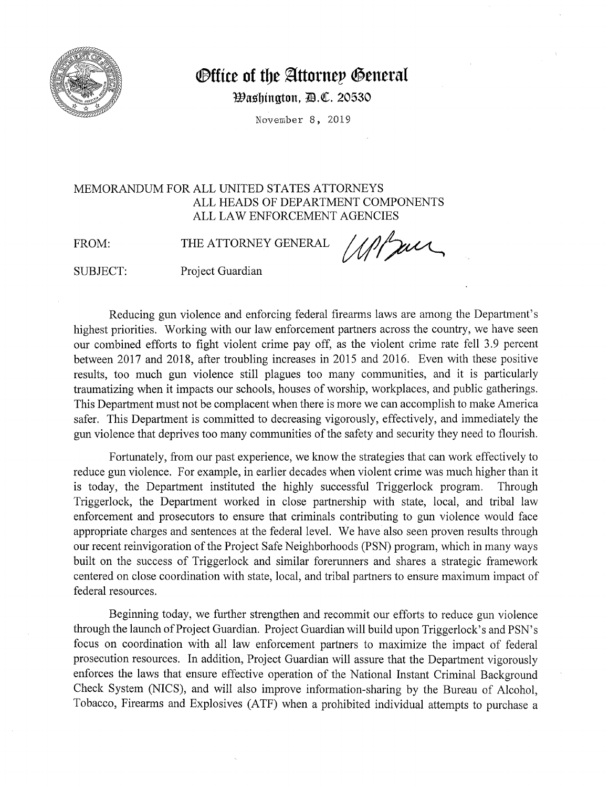

## *<u>Office of the Attornep General</u>*

*Washington, <i>D.C.* 20530

November 8, 2019

## MEMORANDUM FOR ALL UNITED STATES ATTORNEYS ALL HEADS OF DEPARTMENT COMPONENTS ALL LAW ENFORCEMENT AGENCIES MEMORANDUM FOR ALL UNITED STATES ATTORNEYS<br>ALL HEADS OF DEPARTMENT COMPONENTS<br>ALL LAW ENFORCEMENT AGENCIES<br>FROM: THE ATTORNEY GENERAL *ANTELL*

SUBJECT: Project Guardian

Reducing gun violence and enforcing federal firearms laws are among the Department's highest priorities. Working with our law enforcement partners across the country, we have seen our combined efforts to fight violent crime pay off, as the violent crime rate fell 3.9 percent between 2017 and 2018, after troubling increases in 2015 and 2016. Even with these positive results, too much gun violence still plagues too many communities, and it is particularly traumatizing when it impacts our schools, houses of worship, workplaces, and public gatherings. This Department must not be complacent when there is more we can accomplish to make America safer. This Department is committed to decreasing vigorously, effectively, and immediately the gun violence that deprives too many communities of the safety and security they need to flourish.

Fortunately, from our past experience, we know the strategies that can work effectively to reduce gun violence. For example, in earlier decades when violent crime was much higher than it is today, the Department instituted the highly successful Triggerlock program. Through Triggerlock, the Department worked in close partnership with state, local, and tribal law enforcement and prosecutors to ensure that criminals contributing to gun violence would face appropriate charges and sentences at the federal level. We have also seen proven results through our recent reinvigoration of the Project Safe Neighborhoods (PSN) program, which in many ways built on the success of Triggerlock and similar forerunners and shares a strategic framework centered on close coordination with state, local, and tribal partners to ensure maximum impact of federal resources.

Beginning today, we further strengthen and recommit our efforts to reduce gun violence through the launch of Project Guardian. Project Guardian will build upon Triggerlock's and PSN's focus on coordination with all law enforcement partners to maximize the impact of federal prosecution resources. In addition, Project Guardian will assure that the Department vigorously enforces the laws that ensure effective operation of the National Instant Criminal Background Check System (NICS), and will also improve information-sharing by the Bureau of Alcohol, Tobacco, Firearms and Explosives (ATF) when a prohibited individual attempts to purchase a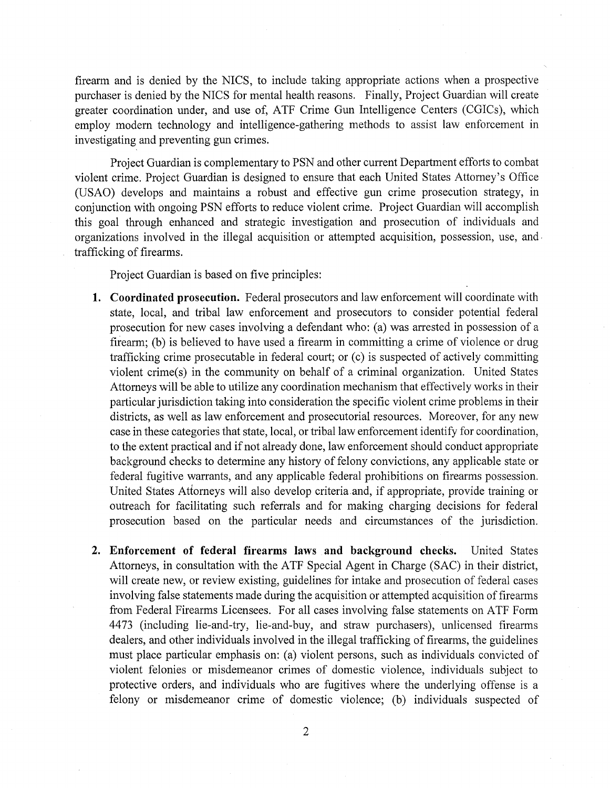firearm and is denied by the NICS, to include taking appropriate actions when a prospective purchaser is denied by the NICS for mental health reasons. Finally, Project Guardian will create greater coordination under, and use of, ATF Crime Gun Intelligence Centers (CGICs), which employ modern technology and intelligence-gathering methods to assist law enforcement in investigating and preventing gun crimes.

Project Guardian is complementary to PSN and other current Department efforts to combat violent crime. Project Guardian is designed to ensure that each United States Attorney's Office (USAO) develops and maintains a robust and effective gun crime prosecution strategy, in conjunction with ongoing PSN efforts to reduce violent crime. Project Guardian will accomplish this goal through enhanced and strategic investigation and prosecution of individuals and organizations involved in the illegal acquisition or attempted acquisition, possession, use, and, trafficking of firearms.

Project Guardian is based on five principles:

- **1. Coordinated prosecution.** Federal prosecutors and law enforcement will coordinate with state, local, and tribal law enforcement and prosecutors to consider potential federal prosecution for new cases involving a defendant who: (a) was arrested in possession of a firearm; (b) is believed to have used a firearm in committing a crime of violence or drug trafficking crime prosecutable in federal court; or (c) is suspected of actively committing violent crime(s) in the community on behalf of a criminal organization. United States Attorneys will be able to utilize any coordination mechanism that effectively works in their particular jurisdiction taking into consideration the specific violent crime problems in their districts, as well as law enforcement and prosecutorial resources. Moreover, for any new case in these categories that state, local, or tribal law enforcement identify for coordination, to the extent practical and if not already done, law enforcement should conduct appropriate background checks to determine any history of felony convictions, any applicable state or federal fugitive warrants, and any applicable federal prohibitions on firearms possession. United States Attorneys will also develop criteria and, if appropriate, provide training or outreach for facilitating such referrals and for making charging decisions for federal prosecution based on the particular needs and circumstances of the jurisdiction.
- **2. Enforcement of federal firearms laws and background checks.** United States Attorneys, in consultation with the ATF Special Agent in Charge (SAC) in their district, will create new, or review existing, guidelines for intake and prosecution of federal cases involving false statements made during the acquisition or attempted acquisition of firearms from Federal Firearms Licensees. For all cases involving false statements on ATF Form 4473 (including lie-and-try, lie-and-buy, and straw purchasers), unlicensed firearms dealers, and other individuals involved in the illegal trafficking of firearms, the guidelines must place particular emphasis on: (a) violent persons, such as individuals convicted of violent felonies or misdemeanor crimes of domestic violence, individuals subject to protective orders, and individuals who are fugitives where the underlying offense is a felony or misdemeanor crime of domestic violence; (b) individuals suspected of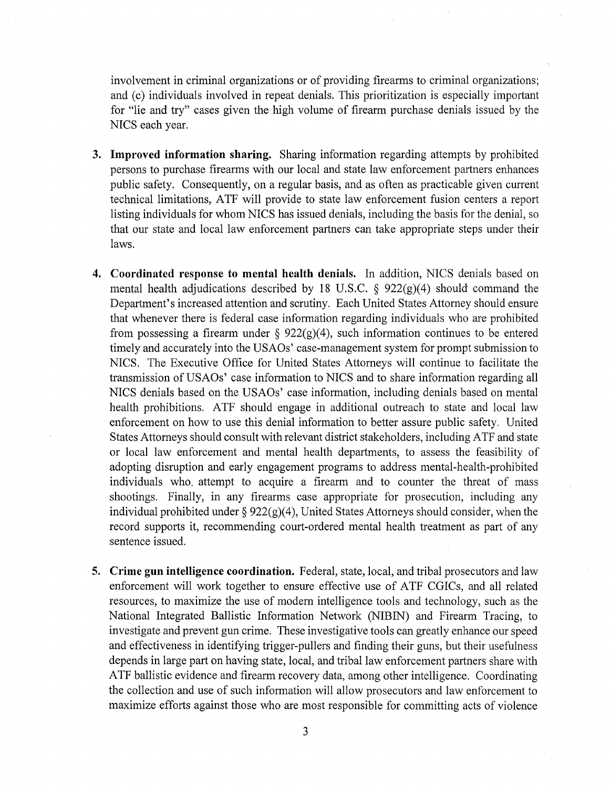involvement in criminal organizations or of providing firearms to criminal organizations; and (c) individuals involved in repeat denials. This prioritization is especially important for "lie and try" cases given the high volume of firearm purchase denials issued by the NICS each year.

- **3. Improved information sharing.** Sharing information regarding attempts by prohibited persons to purchase firearms with our local and state law enforcement partners enhances public safety. Consequently, on a regular basis, and as often as practicable given current technical limitations, ATF will provide to state law enforcement fusion centers a report listing individuals for whom NICS has issued denials, including the basis for the denial, so that our state and local law enforcement partners can take appropriate steps under their laws.
- **4. Coordinated response to mental health denials.** In addition, NICS denials based on mental health adjudications described by 18 U.S.C.  $\S$  922(g)(4) should command the Department's increased attention and scrutiny. Each United States Attorney should ensure that whenever there is federal case information regarding individuals who are prohibited from possessing a firearm under  $\S$  922(g)(4), such information continues to be entered timely and accurately into the USAOs' case-management system for prompt submission to NICS. The Executive Office for United States Attorneys will continue to facilitate the transmission of USAOs' case information to NICS and to share information regarding all NICS denials based on the USAOs' case information, including denials based on mental health prohibitions. ATF should engage in additional outreach to state and local law enforcement on how to use this denial information to better assure public safety. United States Attorneys should consult with relevant district stakeholders, including ATF and state or local law enforcement and mental health departments, to assess the feasibility of adopting disruption and early engagement programs to address mental-health-prohibited individuals who, attempt to acquire a firearm and to counter the threat of mass shootings. Finally, in any firearms case appropriate for prosecution, including any individual prohibited under  $\S 922(g)(4)$ , United States Attorneys should consider, when the record supports it, recommending court-ordered mental health treatment as part of any sentence issued.
- **5. Crime gun intelligence coordination.** Federal, state, local, and tribal prosecutors and law enforcement will work together to ensure effective use of ATF CGICs, and all related resources, to maximize the use of modern intelligence tools and technology, such as the National Integrated Ballistic Information Network (NIBIN) and Firearm Tracing, to investigate and prevent gun crime. These investigative tools can greatly enhance our speed and effectiveness in identifying trigger-pullers and finding their guns, but their usefulness depends in large part on having state, local, and tribal law enforcement partners share with ATF ballistic evidence and firearm recovery data, among other intelligence. Coordinating the collection and use of such information will allow prosecutors and law enforcement to maximize efforts against those who are most responsible for committing acts of violence